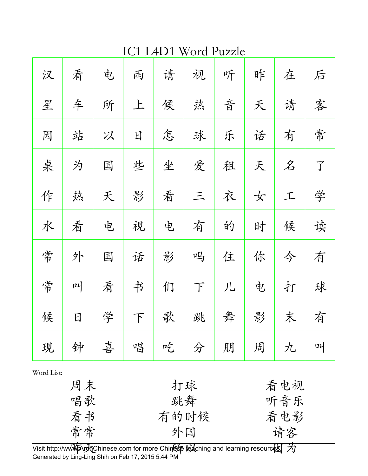IC1 L4D1 Word Puzzle

| 汉 | 看 | 电 | 雨      | 请 | 视     | 听 | 昨 | 在 | 后              |
|---|---|---|--------|---|-------|---|---|---|----------------|
| 星 | 车 | 所 | 上      | 候 | 热     | 音 | 天 | 请 | 客              |
| 因 | 站 | 以 | 日      | 怎 | 球     | 乐 | 话 | 有 | 常              |
| 桌 | 为 | 国 | 些      | 坐 | 爱     | 租 | 天 | 名 | $\overline{J}$ |
| 作 | 热 | 天 | 影      | 看 | $\Xi$ | 衣 | 女 | 工 | 学              |
| 水 | 看 | 电 | 视      | 电 | 有     | 的 | 时 | 侯 | 读              |
| 常 | 外 | 国 | 话      | 影 | 吗     | 住 | 你 | 今 | 有              |
| 常 | 메 | 看 | 书      | 们 | T     | 儿 | 电 | 打 | 球              |
| 候 | 日 | 学 | $\top$ | 歌 | 跳     | 舞 | 影 | 末 | 有              |
| 现 | 钟 | 喜 | 唱      | 吃 | 分     | 朋 | 周 | 九 | 메              |

Word List:

| 周末 | 打球   | 看电视 |
|----|------|-----|
| 唱歌 | 跳舞   | 听音乐 |
| 看书 | 有的时候 | 看电影 |
| 常常 | 外国   | 请客  |
|    |      |     |

Visit http://www.Archinese.com for more Chinese teaching and learning resources.  $\cancel{\mathcal{H}}$ Generated by Ling-Ling Shih on Feb 17, 2015 5:44 PM